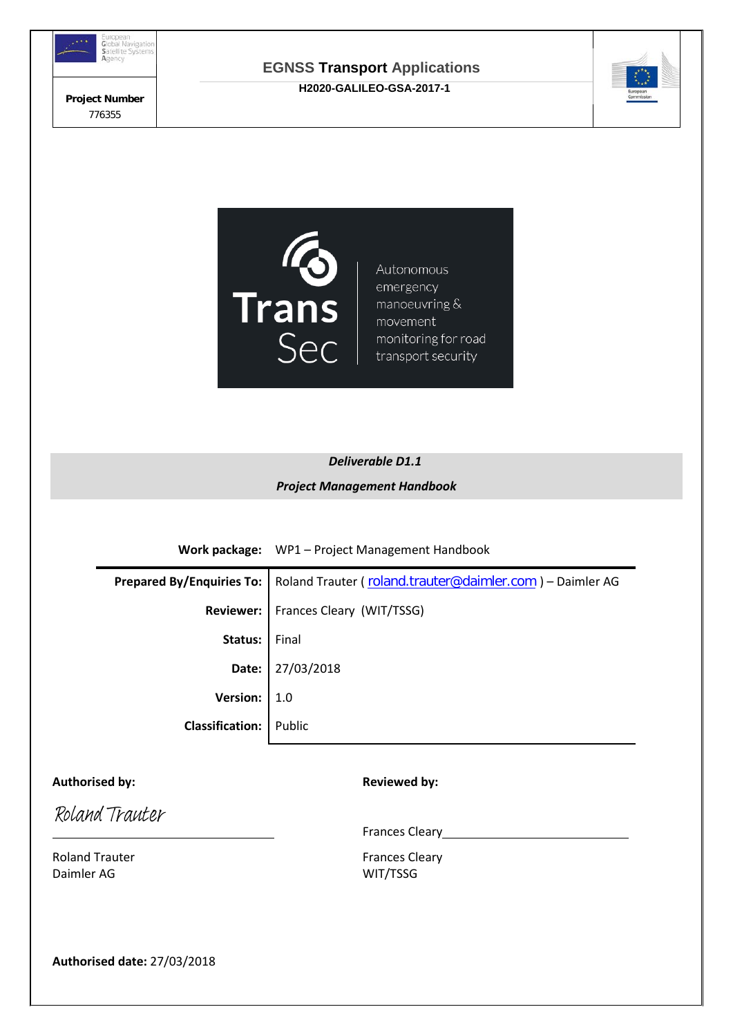

**Project Number**  776355

## **EGNSS Transport Applications H2020-GALILEO-GSA-2017-1**





# *Deliverable D1.1 Project Management Handbook*

**Work package:** WP1 – Project Management Handbook

|                               | Prepared By/Enquiries To:   Roland Trauter (roland.trauter@daimler.com) - Daimler AG |
|-------------------------------|--------------------------------------------------------------------------------------|
|                               | Reviewer:   Frances Cleary (WIT/TSSG)                                                |
| Status:   Final               |                                                                                      |
|                               | Date: $27/03/2018$                                                                   |
| Version: $\vert 1.0 \vert$    |                                                                                      |
| <b>Classification:</b> Public |                                                                                      |

## Authorised by: **Reviewed by: Reviewed by:**

Roland Trauter

Roland Trauter **Frances** Cleary Daimler AG WIT/TSSG

Frances Cleary **Exercise 2018** 

**Authorised date:** 27/03/2018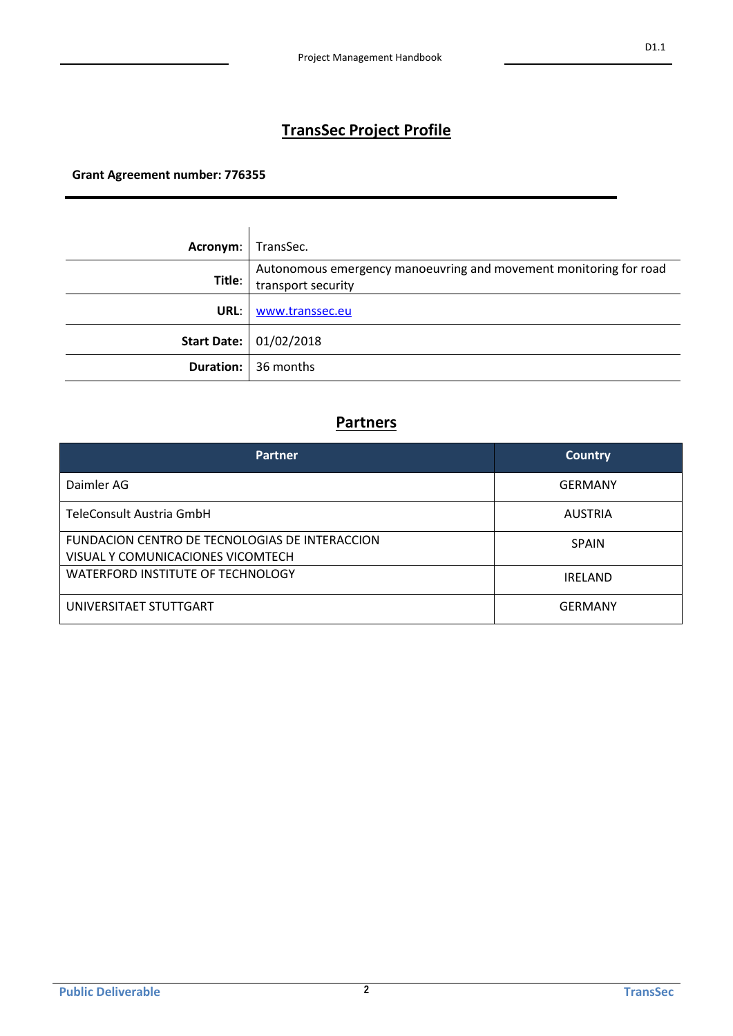# **TransSec Project Profile**

**Grant Agreement number: 776355**

ù.

| Acronym: | TransSec.                                                                               |
|----------|-----------------------------------------------------------------------------------------|
| Title:   | Autonomous emergency manoeuvring and movement monitoring for road<br>transport security |
| URL:     | www.transsec.eu                                                                         |
|          | <b>Start Date: 01/02/2018</b>                                                           |
|          | <b>Duration:</b> 36 months                                                              |

## **Partners**

| <b>Partner</b>                                                                      | <b>Country</b> |
|-------------------------------------------------------------------------------------|----------------|
| Daimler AG                                                                          | <b>GERMANY</b> |
| TeleConsult Austria GmbH                                                            | <b>AUSTRIA</b> |
| FUNDACION CENTRO DE TECNOLOGIAS DE INTERACCION<br>VISUAL Y COMUNICACIONES VICOMTECH | <b>SPAIN</b>   |
| WATERFORD INSTITUTE OF TECHNOLOGY                                                   | <b>IRFLAND</b> |
| UNIVERSITAET STUTTGART                                                              | GFRMANY        |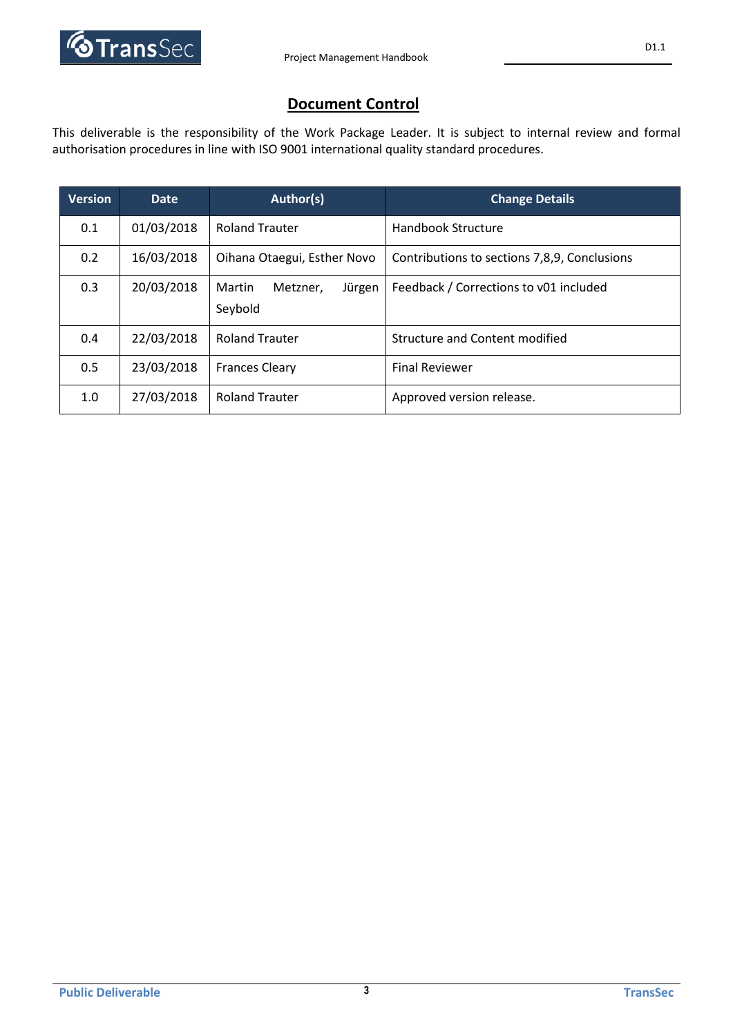

D1.1

## **Document Control**

This deliverable is the responsibility of the Work Package Leader. It is subject to internal review and formal authorisation procedures in line with ISO 9001 international quality standard procedures.

| <b>Version</b> | <b>Date</b> | Author(s)                                                                   | <b>Change Details</b>                  |
|----------------|-------------|-----------------------------------------------------------------------------|----------------------------------------|
| 0.1            | 01/03/2018  | <b>Roland Trauter</b>                                                       | Handbook Structure                     |
| 0.2            | 16/03/2018  | Oihana Otaegui, Esther Novo<br>Contributions to sections 7,8,9, Conclusions |                                        |
| 0.3            | 20/03/2018  | Martin<br>Jürgen<br>Metzner,<br>Seybold                                     | Feedback / Corrections to v01 included |
| 0.4            | 22/03/2018  | <b>Roland Trauter</b>                                                       | Structure and Content modified         |
| 0.5            | 23/03/2018  | <b>Frances Cleary</b>                                                       | <b>Final Reviewer</b>                  |
| 1.0            | 27/03/2018  | <b>Roland Trauter</b>                                                       | Approved version release.              |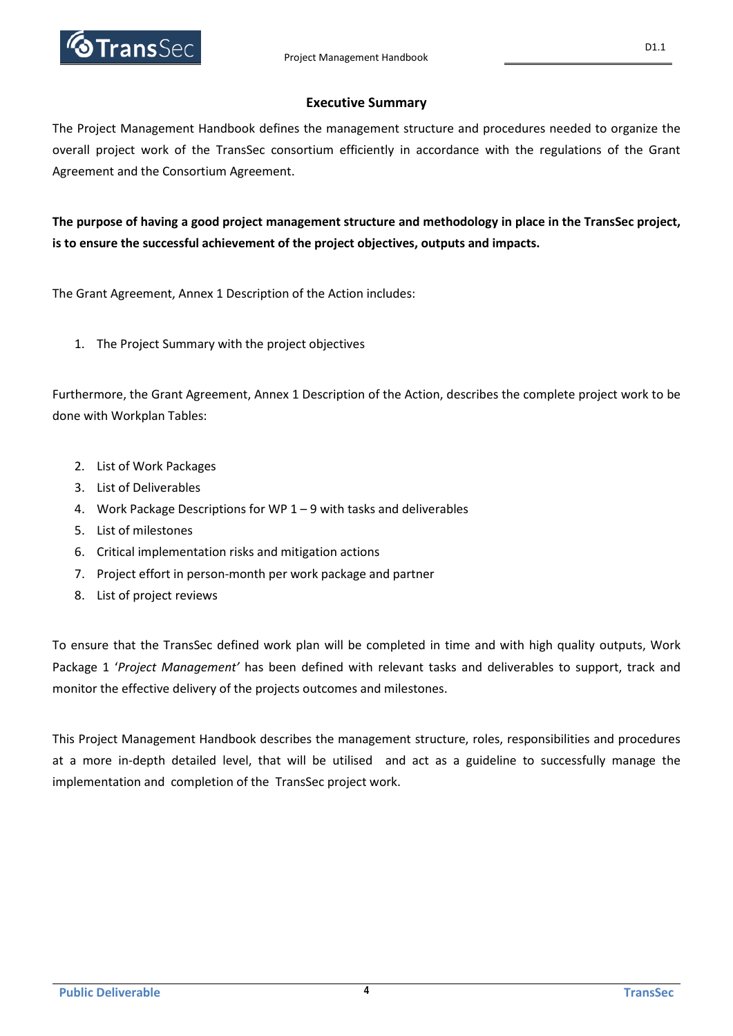

## **Executive Summary**

The Project Management Handbook defines the management structure and procedures needed to organize the overall project work of the TransSec consortium efficiently in accordance with the regulations of the Grant Agreement and the Consortium Agreement.

**The purpose of having a good project management structure and methodology in place in the TransSec project, is to ensure the successful achievement of the project objectives, outputs and impacts.**

The Grant Agreement, Annex 1 Description of the Action includes:

1. The Project Summary with the project objectives

Furthermore, the Grant Agreement, Annex 1 Description of the Action, describes the complete project work to be done with Workplan Tables:

- 2. List of Work Packages
- 3. List of Deliverables
- 4. Work Package Descriptions for WP 1 9 with tasks and deliverables
- 5. List of milestones
- 6. Critical implementation risks and mitigation actions
- 7. Project effort in person-month per work package and partner
- 8. List of project reviews

To ensure that the TransSec defined work plan will be completed in time and with high quality outputs, Work Package 1 '*Project Management'* has been defined with relevant tasks and deliverables to support, track and monitor the effective delivery of the projects outcomes and milestones.

This Project Management Handbook describes the management structure, roles, responsibilities and procedures at a more in-depth detailed level, that will be utilised and act as a guideline to successfully manage the implementation and completion of the TransSec project work.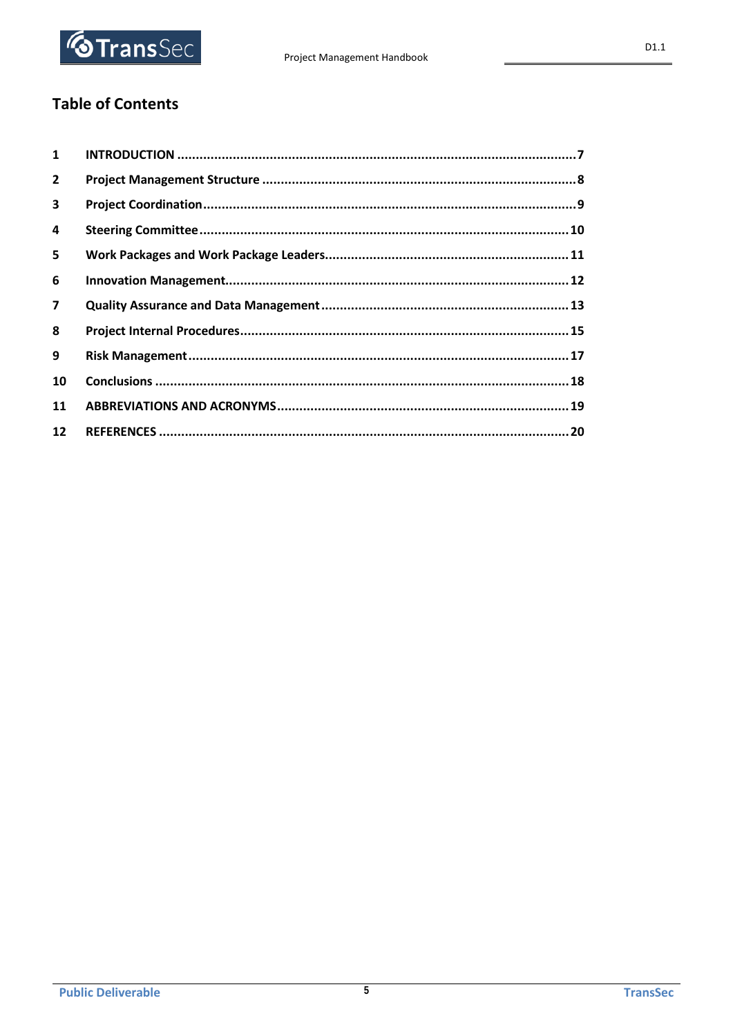

## **Table of Contents**

| $\mathbf{1}$            |  |
|-------------------------|--|
| $\overline{2}$          |  |
| $\overline{\mathbf{3}}$ |  |
| 4                       |  |
| 5                       |  |
| 6                       |  |
| $\overline{7}$          |  |
| 8                       |  |
| 9                       |  |
| 10                      |  |
| 11                      |  |
| 12                      |  |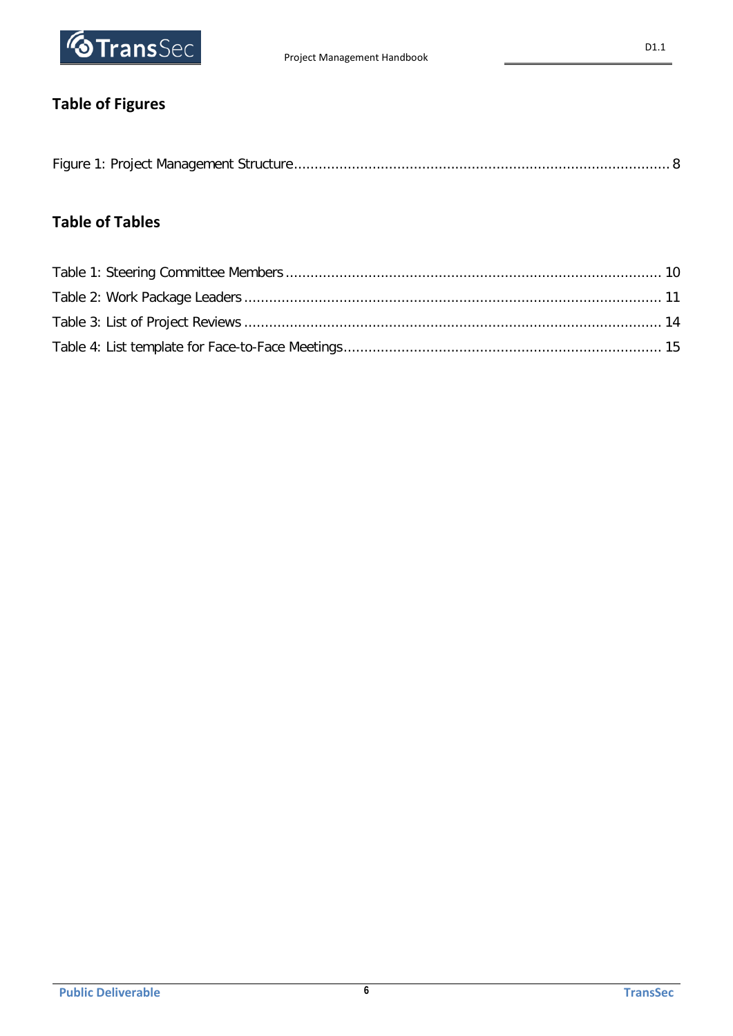

# **Table of Figures**

|--|--|

# **Table of Tables**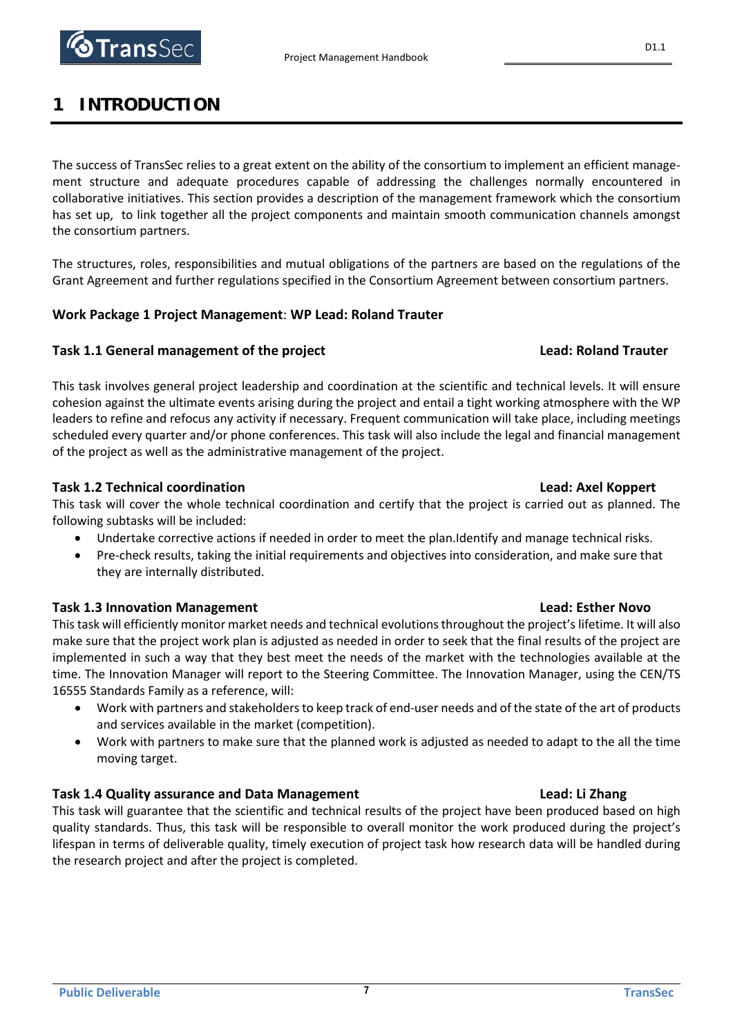

# **1 INTRODUCTION**

The success of TransSec relies to a great extent on the ability of the consortium to implement an efficient management structure and adequate procedures capable of addressing the challenges normally encountered in collaborative initiatives. This section provides a description of the management framework which the consortium has set up, to link together all the project components and maintain smooth communication channels amongst the consortium partners.

The structures, roles, responsibilities and mutual obligations of the partners are based on the regulations of the Grant Agreement and further regulations specified in the Consortium Agreement between consortium partners.

## **Work Package 1 Project Management**: **WP Lead: Roland Trauter**

## **Task 1.1 General management of the project Lead: Roland Trauter**

This task involves general project leadership and coordination at the scientific and technical levels. It will ensure cohesion against the ultimate events arising during the project and entail a tight working atmosphere with the WP leaders to refine and refocus any activity if necessary. Frequent communication will take place, including meetings scheduled every quarter and/or phone conferences. This task will also include the legal and financial management of the project as well as the administrative management of the project.

## **Task 1.2 Technical coordination Lead: Axel Koppert**

This task will cover the whole technical coordination and certify that the project is carried out as planned. The following subtasks will be included:

- Undertake corrective actions if needed in order to meet the plan.Identify and manage technical risks.
- Pre-check results, taking the initial requirements and objectives into consideration, and make sure that they are internally distributed.

## **Task 1.3 Innovation Management Lead: Esther Novo**

This task will efficiently monitor market needs and technical evolutions throughout the project's lifetime. It will also make sure that the project work plan is adjusted as needed in order to seek that the final results of the project are implemented in such a way that they best meet the needs of the market with the technologies available at the time. The Innovation Manager will report to the Steering Committee. The Innovation Manager, using the CEN/TS 16555 Standards Family as a reference, will:

- Work with partners and stakeholders to keep track of end-user needs and of the state of the art of products and services available in the market (competition).
- Work with partners to make sure that the planned work is adjusted as needed to adapt to the all the time moving target.

## **Task 1.4 Quality assurance and Data Management Lead: Li Zhang**

This task will guarantee that the scientific and technical results of the project have been produced based on high quality standards. Thus, this task will be responsible to overall monitor the work produced during the project's lifespan in terms of deliverable quality, timely execution of project task how research data will be handled during the research project and after the project is completed.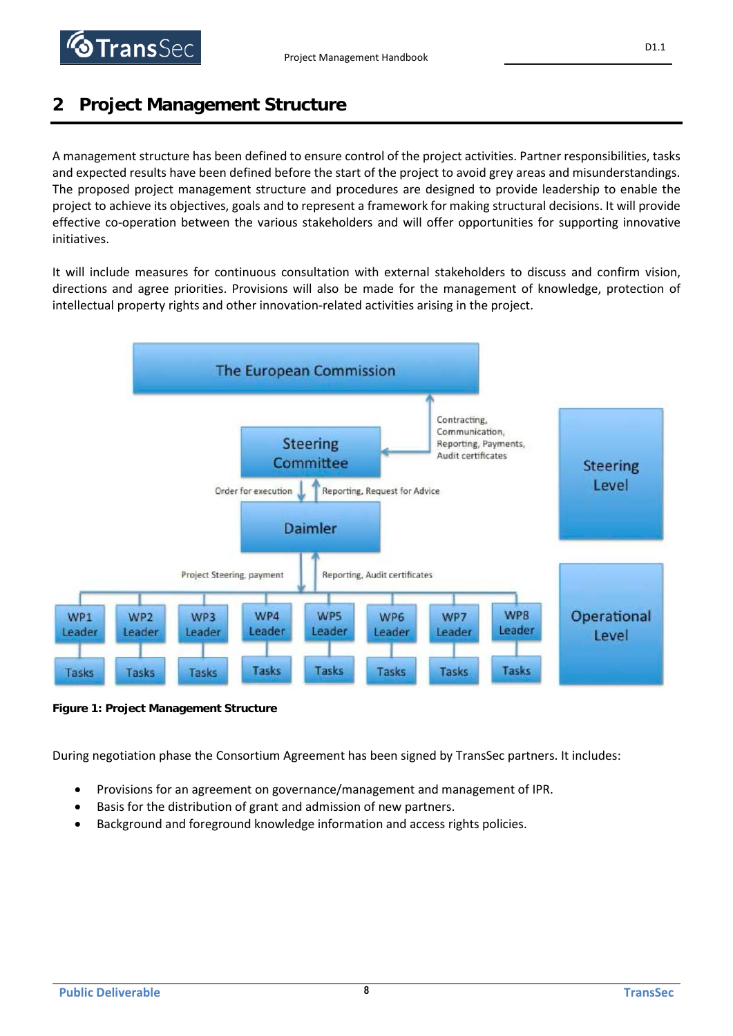

# **2 Project Management Structure**

A management structure has been defined to ensure control of the project activities. Partner responsibilities, tasks and expected results have been defined before the start of the project to avoid grey areas and misunderstandings. The proposed project management structure and procedures are designed to provide leadership to enable the project to achieve its objectives, goals and to represent a framework for making structural decisions. It will provide effective co-operation between the various stakeholders and will offer opportunities for supporting innovative initiatives.

It will include measures for continuous consultation with external stakeholders to discuss and confirm vision, directions and agree priorities. Provisions will also be made for the management of knowledge, protection of intellectual property rights and other innovation-related activities arising in the project.



**Figure 1: Project Management Structure**

During negotiation phase the Consortium Agreement has been signed by TransSec partners. It includes:

- Provisions for an agreement on governance/management and management of IPR.
- Basis for the distribution of grant and admission of new partners.
- Background and foreground knowledge information and access rights policies.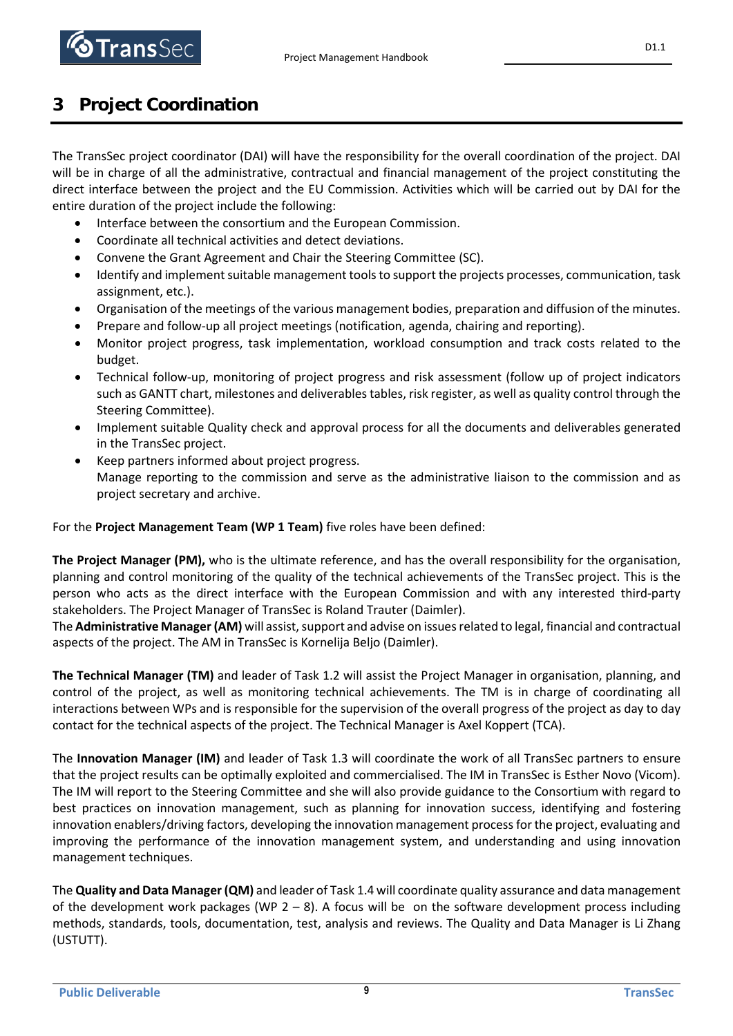D1.1

# **3 Project Coordination**

The TransSec project coordinator (DAI) will have the responsibility for the overall coordination of the project. DAI will be in charge of all the administrative, contractual and financial management of the project constituting the direct interface between the project and the EU Commission. Activities which will be carried out by DAI for the entire duration of the project include the following:

- Interface between the consortium and the European Commission.
- Coordinate all technical activities and detect deviations.
- Convene the Grant Agreement and Chair the Steering Committee (SC).
- Identify and implement suitable management tools to support the projects processes, communication, task assignment, etc.).
- Organisation of the meetings of the various management bodies, preparation and diffusion of the minutes.
- Prepare and follow-up all project meetings (notification, agenda, chairing and reporting).
- Monitor project progress, task implementation, workload consumption and track costs related to the budget.
- Technical follow-up, monitoring of project progress and risk assessment (follow up of project indicators such as GANTT chart, milestones and deliverables tables, risk register, as well as quality control through the Steering Committee).
- Implement suitable Quality check and approval process for all the documents and deliverables generated in the TransSec project.
- Keep partners informed about project progress. Manage reporting to the commission and serve as the administrative liaison to the commission and as project secretary and archive.

## For the **Project Management Team (WP 1 Team)** five roles have been defined:

**The Project Manager (PM),** who is the ultimate reference, and has the overall responsibility for the organisation, planning and control monitoring of the quality of the technical achievements of the TransSec project. This is the person who acts as the direct interface with the European Commission and with any interested third-party stakeholders. The Project Manager of TransSec is Roland Trauter (Daimler).

The **Administrative Manager (AM)** will assist, support and advise on issues related to legal, financial and contractual aspects of the project. The AM in TransSec is Kornelija Beljo (Daimler).

**The Technical Manager (TM)** and leader of Task 1.2 will assist the Project Manager in organisation, planning, and control of the project, as well as monitoring technical achievements. The TM is in charge of coordinating all interactions between WPs and is responsible for the supervision of the overall progress of the project as day to day contact for the technical aspects of the project. The Technical Manager is Axel Koppert (TCA).

The **Innovation Manager (IM)** and leader of Task 1.3 will coordinate the work of all TransSec partners to ensure that the project results can be optimally exploited and commercialised. The IM in TransSec is Esther Novo (Vicom). The IM will report to the Steering Committee and she will also provide guidance to the Consortium with regard to best practices on innovation management, such as planning for innovation success, identifying and fostering innovation enablers/driving factors, developing the innovation management process for the project, evaluating and improving the performance of the innovation management system, and understanding and using innovation management techniques.

The **Quality and Data Manager (QM)** and leader of Task 1.4 will coordinate quality assurance and data management of the development work packages (WP  $2 - 8$ ). A focus will be on the software development process including methods, standards, tools, documentation, test, analysis and reviews. The Quality and Data Manager is Li Zhang (USTUTT).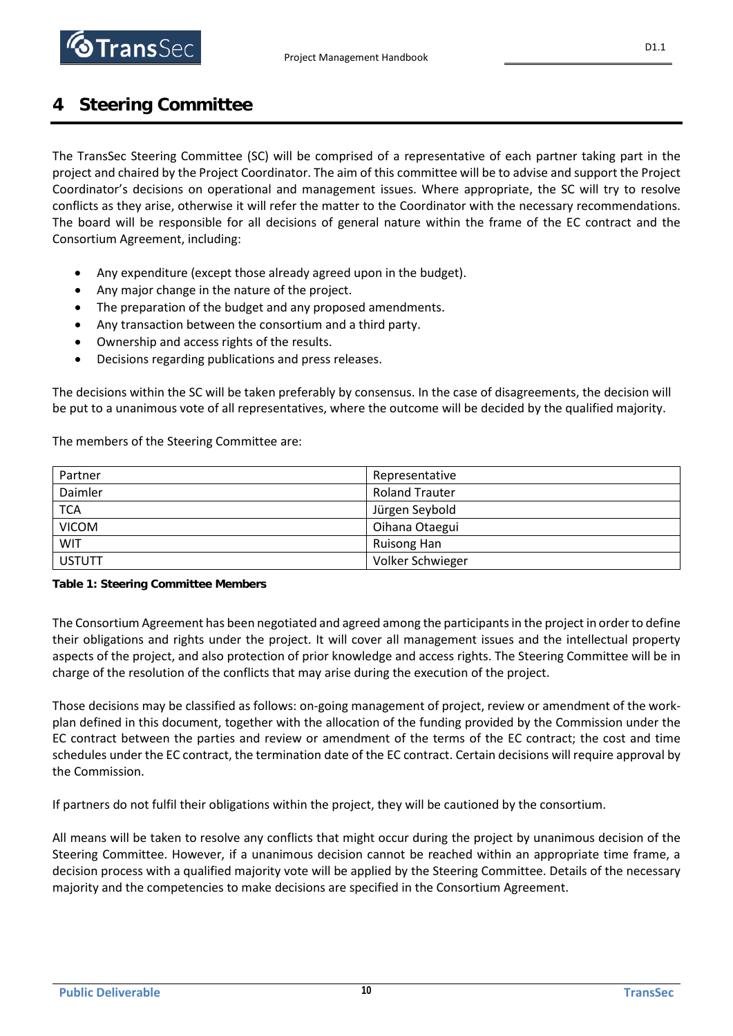

# **4 Steering Committee**

The TransSec Steering Committee (SC) will be comprised of a representative of each partner taking part in the project and chaired by the Project Coordinator. The aim of this committee will be to advise and support the Project Coordinator's decisions on operational and management issues. Where appropriate, the SC will try to resolve conflicts as they arise, otherwise it will refer the matter to the Coordinator with the necessary recommendations. The board will be responsible for all decisions of general nature within the frame of the EC contract and the Consortium Agreement, including:

- Any expenditure (except those already agreed upon in the budget).
- Any major change in the nature of the project.
- The preparation of the budget and any proposed amendments.
- Any transaction between the consortium and a third party.
- Ownership and access rights of the results.
- Decisions regarding publications and press releases.

The decisions within the SC will be taken preferably by consensus. In the case of disagreements, the decision will be put to a unanimous vote of all representatives, where the outcome will be decided by the qualified majority.

The members of the Steering Committee are:

| Partner       | Representative        |
|---------------|-----------------------|
| Daimler       | <b>Roland Trauter</b> |
| <b>TCA</b>    | Jürgen Seybold        |
| <b>VICOM</b>  | Oihana Otaegui        |
| <b>WIT</b>    | Ruisong Han           |
| <b>USTUTT</b> | Volker Schwieger      |

## **Table 1: Steering Committee Members**

The Consortium Agreement has been negotiated and agreed among the participants in the project in order to define their obligations and rights under the project. It will cover all management issues and the intellectual property aspects of the project, and also protection of prior knowledge and access rights. The Steering Committee will be in charge of the resolution of the conflicts that may arise during the execution of the project.

Those decisions may be classified as follows: on-going management of project, review or amendment of the workplan defined in this document, together with the allocation of the funding provided by the Commission under the EC contract between the parties and review or amendment of the terms of the EC contract; the cost and time schedules under the EC contract, the termination date of the EC contract. Certain decisions will require approval by the Commission.

If partners do not fulfil their obligations within the project, they will be cautioned by the consortium.

All means will be taken to resolve any conflicts that might occur during the project by unanimous decision of the Steering Committee. However, if a unanimous decision cannot be reached within an appropriate time frame, a decision process with a qualified majority vote will be applied by the Steering Committee. Details of the necessary majority and the competencies to make decisions are specified in the Consortium Agreement.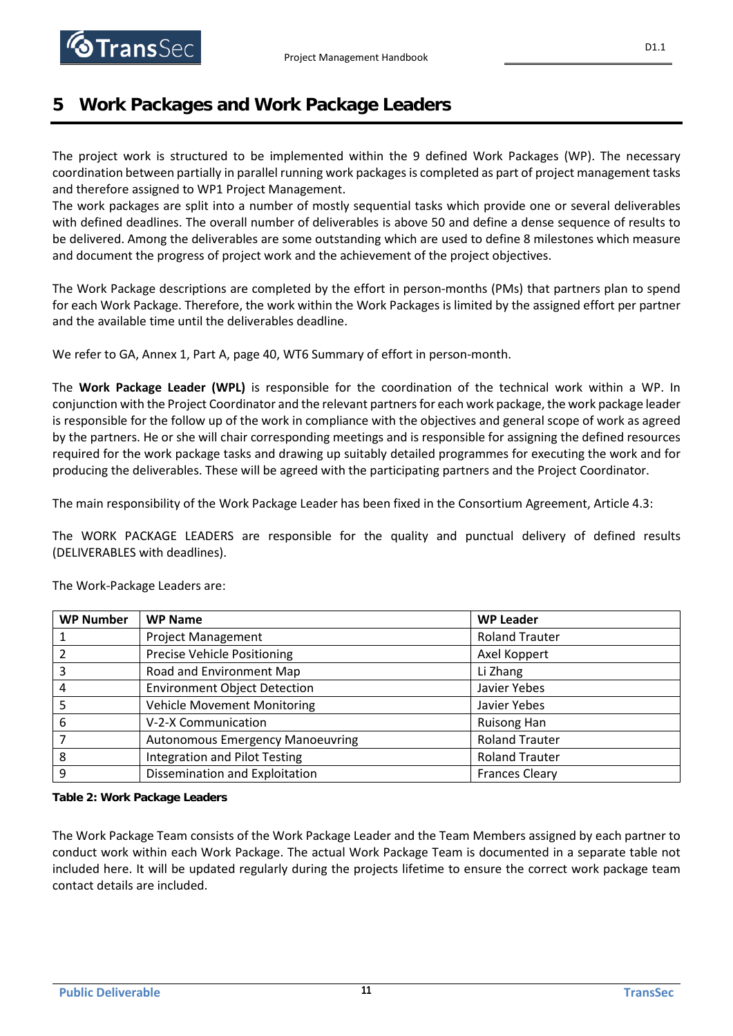# **5 Work Packages and Work Package Leaders**

The project work is structured to be implemented within the 9 defined Work Packages (WP). The necessary coordination between partially in parallel running work packages is completed as part of project management tasks and therefore assigned to WP1 Project Management.

The work packages are split into a number of mostly sequential tasks which provide one or several deliverables with defined deadlines. The overall number of deliverables is above 50 and define a dense sequence of results to be delivered. Among the deliverables are some outstanding which are used to define 8 milestones which measure and document the progress of project work and the achievement of the project objectives.

The Work Package descriptions are completed by the effort in person-months (PMs) that partners plan to spend for each Work Package. Therefore, the work within the Work Packages is limited by the assigned effort per partner and the available time until the deliverables deadline.

We refer to GA, Annex 1, Part A, page 40, WT6 Summary of effort in person-month.

The **Work Package Leader (WPL)** is responsible for the coordination of the technical work within a WP. In conjunction with the Project Coordinator and the relevant partners for each work package, the work package leader is responsible for the follow up of the work in compliance with the objectives and general scope of work as agreed by the partners. He or she will chair corresponding meetings and is responsible for assigning the defined resources required for the work package tasks and drawing up suitably detailed programmes for executing the work and for producing the deliverables. These will be agreed with the participating partners and the Project Coordinator.

The main responsibility of the Work Package Leader has been fixed in the Consortium Agreement, Article 4.3:

The WORK PACKAGE LEADERS are responsible for the quality and punctual delivery of defined results (DELIVERABLES with deadlines).

| <b>WP Number</b> | <b>WP Name</b>                          | <b>WP Leader</b>      |
|------------------|-----------------------------------------|-----------------------|
|                  | <b>Project Management</b>               | <b>Roland Trauter</b> |
|                  | <b>Precise Vehicle Positioning</b>      | Axel Koppert          |
|                  | Road and Environment Map                | Li Zhang              |
| 4                | <b>Environment Object Detection</b>     | Javier Yebes          |
|                  | <b>Vehicle Movement Monitoring</b>      | Javier Yebes          |
| 6                | V-2-X Communication                     | Ruisong Han           |
|                  | <b>Autonomous Emergency Manoeuvring</b> | <b>Roland Trauter</b> |
| 8                | Integration and Pilot Testing           | <b>Roland Trauter</b> |
| 9                | Dissemination and Exploitation          | <b>Frances Cleary</b> |

The Work-Package Leaders are:

**Table 2: Work Package Leaders**

The Work Package Team consists of the Work Package Leader and the Team Members assigned by each partner to conduct work within each Work Package. The actual Work Package Team is documented in a separate table not included here. It will be updated regularly during the projects lifetime to ensure the correct work package team contact details are included.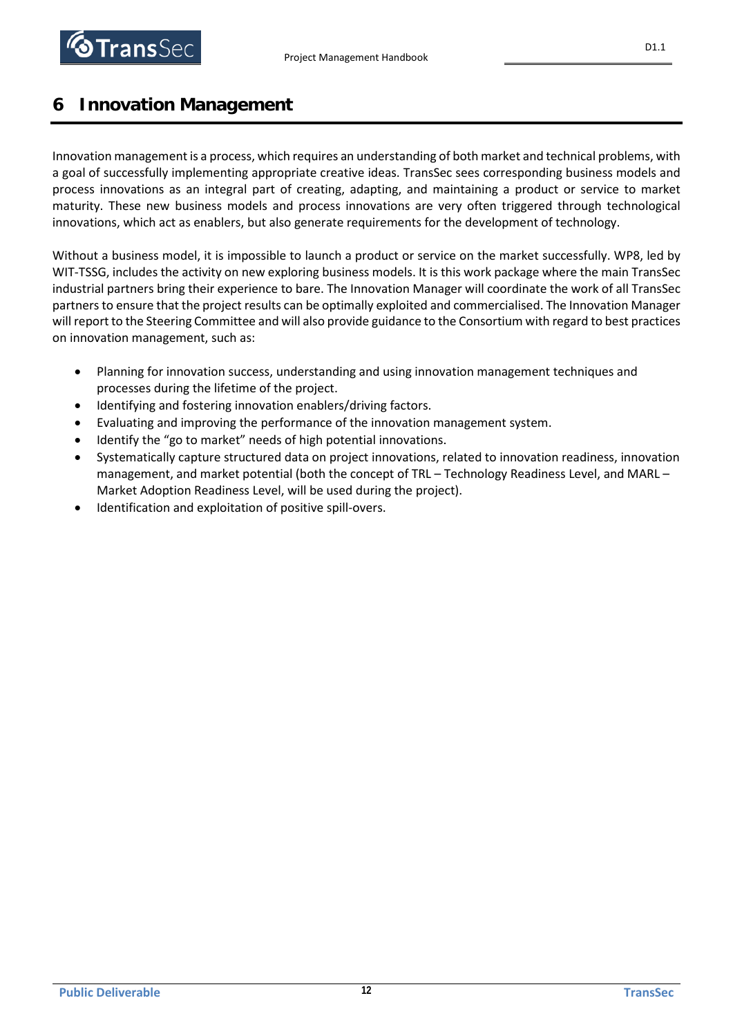

# **6 Innovation Management**

Innovation management is a process, which requires an understanding of both market and technical problems, with a goal of successfully implementing appropriate creative ideas. TransSec sees corresponding business models and process innovations as an integral part of creating, adapting, and maintaining a product or service to market maturity. These new business models and process innovations are very often triggered through technological innovations, which act as enablers, but also generate requirements for the development of technology.

Without a business model, it is impossible to launch a product or service on the market successfully. WP8, led by WIT-TSSG, includes the activity on new exploring business models. It is this work package where the main TransSec industrial partners bring their experience to bare. The Innovation Manager will coordinate the work of all TransSec partners to ensure that the project results can be optimally exploited and commercialised. The Innovation Manager will report to the Steering Committee and will also provide guidance to the Consortium with regard to best practices on innovation management, such as:

- Planning for innovation success, understanding and using innovation management techniques and processes during the lifetime of the project.
- Identifying and fostering innovation enablers/driving factors.
- Evaluating and improving the performance of the innovation management system.
- Identify the "go to market" needs of high potential innovations.
- Systematically capture structured data on project innovations, related to innovation readiness, innovation management, and market potential (both the concept of TRL – Technology Readiness Level, and MARL – Market Adoption Readiness Level, will be used during the project).
- Identification and exploitation of positive spill-overs.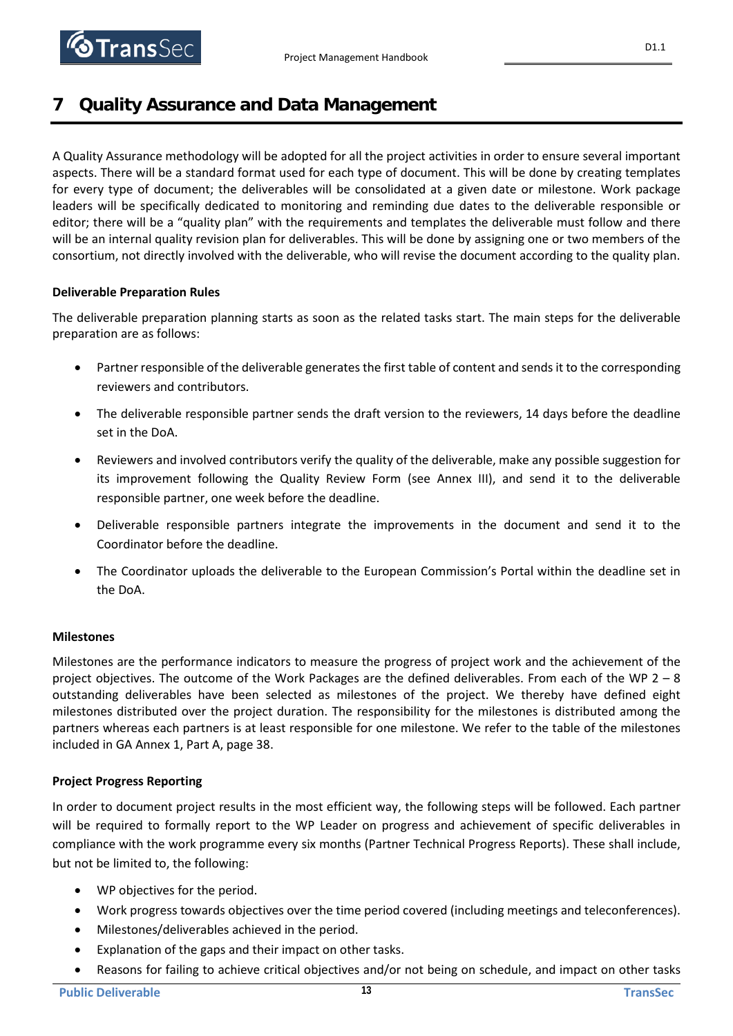**TransSec** 

# **7 Quality Assurance and Data Management**

A Quality Assurance methodology will be adopted for all the project activities in order to ensure several important aspects. There will be a standard format used for each type of document. This will be done by creating templates for every type of document; the deliverables will be consolidated at a given date or milestone. Work package leaders will be specifically dedicated to monitoring and reminding due dates to the deliverable responsible or editor; there will be a "quality plan" with the requirements and templates the deliverable must follow and there will be an internal quality revision plan for deliverables. This will be done by assigning one or two members of the consortium, not directly involved with the deliverable, who will revise the document according to the quality plan.

## **Deliverable Preparation Rules**

The deliverable preparation planning starts as soon as the related tasks start. The main steps for the deliverable preparation are as follows:

- Partner responsible of the deliverable generates the first table of content and sends it to the corresponding reviewers and contributors.
- The deliverable responsible partner sends the draft version to the reviewers, 14 days before the deadline set in the DoA.
- Reviewers and involved contributors verify the quality of the deliverable, make any possible suggestion for its improvement following the Quality Review Form (see Annex III), and send it to the deliverable responsible partner, one week before the deadline.
- Deliverable responsible partners integrate the improvements in the document and send it to the Coordinator before the deadline.
- The Coordinator uploads the deliverable to the European Commission's Portal within the deadline set in the DoA.

## **Milestones**

Milestones are the performance indicators to measure the progress of project work and the achievement of the project objectives. The outcome of the Work Packages are the defined deliverables. From each of the WP 2 – 8 outstanding deliverables have been selected as milestones of the project. We thereby have defined eight milestones distributed over the project duration. The responsibility for the milestones is distributed among the partners whereas each partners is at least responsible for one milestone. We refer to the table of the milestones included in GA Annex 1, Part A, page 38.

## **Project Progress Reporting**

In order to document project results in the most efficient way, the following steps will be followed. Each partner will be required to formally report to the WP Leader on progress and achievement of specific deliverables in compliance with the work programme every six months (Partner Technical Progress Reports). These shall include, but not be limited to, the following:

- WP objectives for the period.
- Work progress towards objectives over the time period covered (including meetings and teleconferences).
- Milestones/deliverables achieved in the period.
- Explanation of the gaps and their impact on other tasks.
- Reasons for failing to achieve critical objectives and/or not being on schedule, and impact on other tasks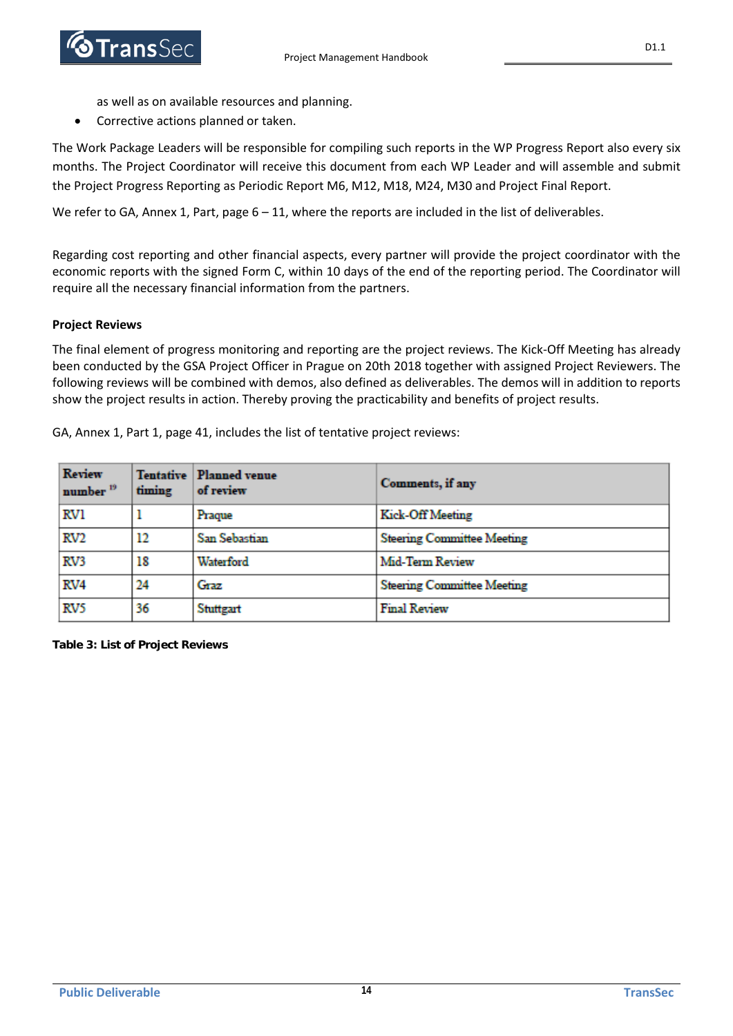

as well as on available resources and planning.

• Corrective actions planned or taken.

The Work Package Leaders will be responsible for compiling such reports in the WP Progress Report also every six months. The Project Coordinator will receive this document from each WP Leader and will assemble and submit the Project Progress Reporting as Periodic Report M6, M12, M18, M24, M30 and Project Final Report.

We refer to GA, Annex 1, Part, page  $6 - 11$ , where the reports are included in the list of deliverables.

Regarding cost reporting and other financial aspects, every partner will provide the project coordinator with the economic reports with the signed Form C, within 10 days of the end of the reporting period. The Coordinator will require all the necessary financial information from the partners.

## **Project Reviews**

The final element of progress monitoring and reporting are the project reviews. The Kick-Off Meeting has already been conducted by the GSA Project Officer in Prague on 20th 2018 together with assigned Project Reviewers. The following reviews will be combined with demos, also defined as deliverables. The demos will in addition to reports show the project results in action. Thereby proving the practicability and benefits of project results.

GA, Annex 1, Part 1, page 41, includes the list of tentative project reviews:

| <b>Review</b><br>number <sup>19</sup> | timing | <b>Tentative Planned venue</b><br>of review | Comments, if any                  |
|---------------------------------------|--------|---------------------------------------------|-----------------------------------|
| RVI                                   |        | Praque                                      | Kick-Off Meeting                  |
| RV <sub>2</sub>                       | 12     | San Sebastian                               | <b>Steering Committee Meeting</b> |
| RV3                                   | 18     | Waterford                                   | Mid-Term Review                   |
| RV4                                   | 24     | Graz                                        | <b>Steering Committee Meeting</b> |
| RV5                                   | 36     | Stuttgart                                   | <b>Final Review</b>               |

**Table 3: List of Project Reviews**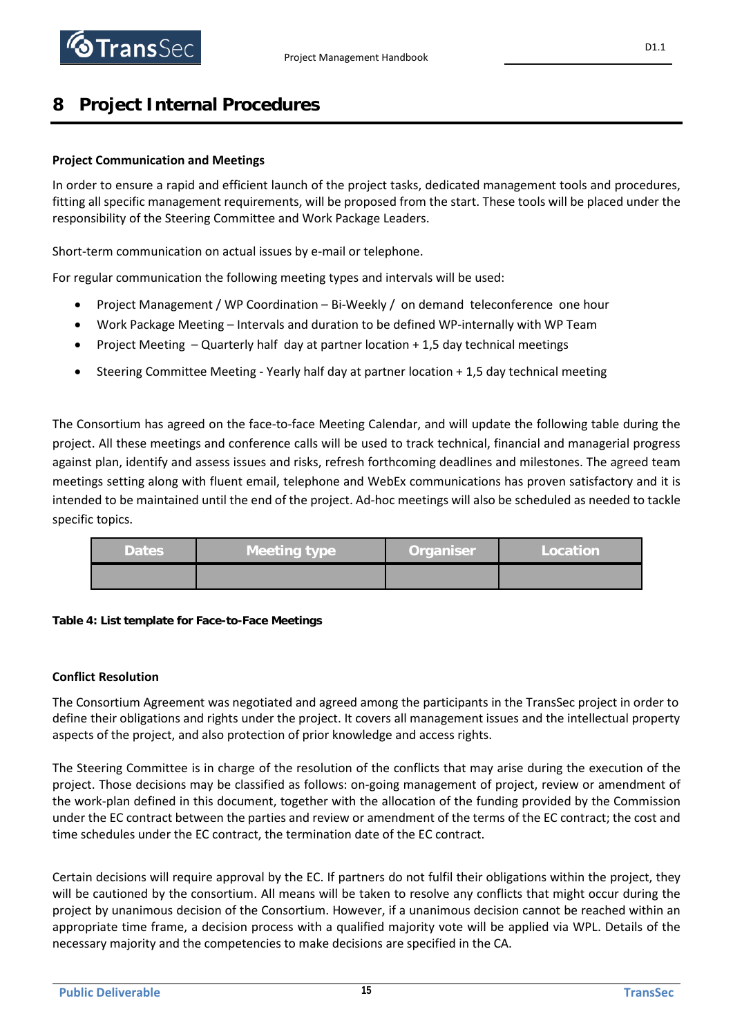

# **8 Project Internal Procedures**

## **Project Communication and Meetings**

In order to ensure a rapid and efficient launch of the project tasks, dedicated management tools and procedures, fitting all specific management requirements, will be proposed from the start. These tools will be placed under the responsibility of the Steering Committee and Work Package Leaders.

Short-term communication on actual issues by e-mail or telephone.

For regular communication the following meeting types and intervals will be used:

- Project Management / WP Coordination Bi-Weekly / on demand teleconference one hour
- Work Package Meeting Intervals and duration to be defined WP-internally with WP Team
- Project Meeting Quarterly half day at partner location + 1,5 day technical meetings
- Steering Committee Meeting Yearly half day at partner location + 1,5 day technical meeting

The Consortium has agreed on the face-to-face Meeting Calendar, and will update the following table during the project. All these meetings and conference calls will be used to track technical, financial and managerial progress against plan, identify and assess issues and risks, refresh forthcoming deadlines and milestones. The agreed team meetings setting along with fluent email, telephone and WebEx communications has proven satisfactory and it is intended to be maintained until the end of the project. Ad-hoc meetings will also be scheduled as needed to tackle specific topics.

| <b>Dates</b> | Meeting type | <b>Organiser</b> | Location |
|--------------|--------------|------------------|----------|
|              |              |                  |          |



## **Conflict Resolution**

The Consortium Agreement was negotiated and agreed among the participants in the TransSec project in order to define their obligations and rights under the project. It covers all management issues and the intellectual property aspects of the project, and also protection of prior knowledge and access rights.

The Steering Committee is in charge of the resolution of the conflicts that may arise during the execution of the project. Those decisions may be classified as follows: on-going management of project, review or amendment of the work-plan defined in this document, together with the allocation of the funding provided by the Commission under the EC contract between the parties and review or amendment of the terms of the EC contract; the cost and time schedules under the EC contract, the termination date of the EC contract.

Certain decisions will require approval by the EC. If partners do not fulfil their obligations within the project, they will be cautioned by the consortium. All means will be taken to resolve any conflicts that might occur during the project by unanimous decision of the Consortium. However, if a unanimous decision cannot be reached within an appropriate time frame, a decision process with a qualified majority vote will be applied via WPL. Details of the necessary majority and the competencies to make decisions are specified in the CA.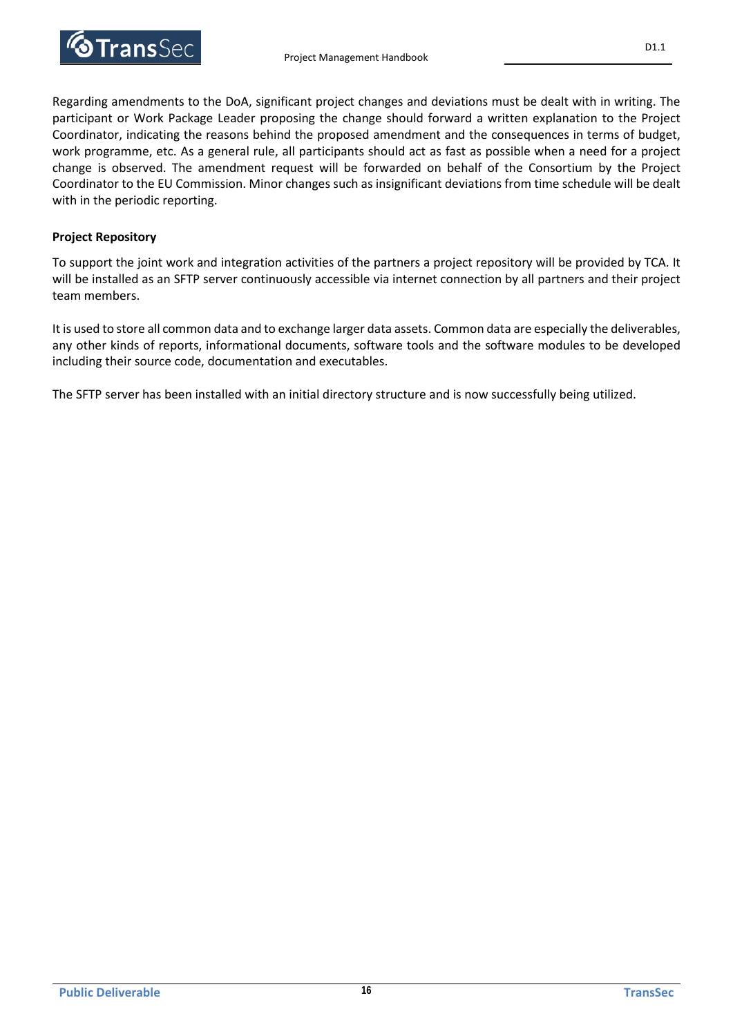

Regarding amendments to the DoA, significant project changes and deviations must be dealt with in writing. The participant or Work Package Leader proposing the change should forward a written explanation to the Project Coordinator, indicating the reasons behind the proposed amendment and the consequences in terms of budget, work programme, etc. As a general rule, all participants should act as fast as possible when a need for a project change is observed. The amendment request will be forwarded on behalf of the Consortium by the Project Coordinator to the EU Commission. Minor changes such as insignificant deviations from time schedule will be dealt with in the periodic reporting.

## **Project Repository**

To support the joint work and integration activities of the partners a project repository will be provided by TCA. It will be installed as an SFTP server continuously accessible via internet connection by all partners and their project team members.

It is used to store all common data and to exchange larger data assets. Common data are especially the deliverables, any other kinds of reports, informational documents, software tools and the software modules to be developed including their source code, documentation and executables.

The SFTP server has been installed with an initial directory structure and is now successfully being utilized.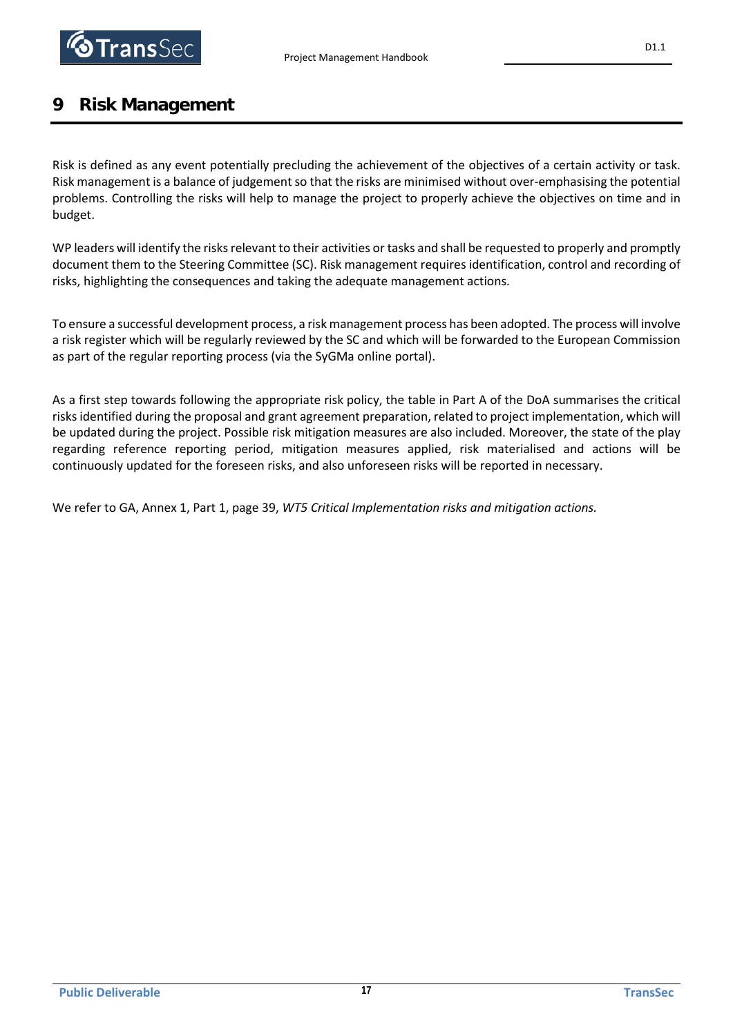

# **9 Risk Management**

Risk is defined as any event potentially precluding the achievement of the objectives of a certain activity or task. Risk management is a balance of judgement so that the risks are minimised without over-emphasising the potential problems. Controlling the risks will help to manage the project to properly achieve the objectives on time and in budget.

WP leaders will identify the risks relevant to their activities or tasks and shall be requested to properly and promptly document them to the Steering Committee (SC). Risk management requires identification, control and recording of risks, highlighting the consequences and taking the adequate management actions.

To ensure a successful development process, a risk management process has been adopted. The process will involve a risk register which will be regularly reviewed by the SC and which will be forwarded to the European Commission as part of the regular reporting process (via the SyGMa online portal).

As a first step towards following the appropriate risk policy, the table in Part A of the DoA summarises the critical risks identified during the proposal and grant agreement preparation, related to project implementation, which will be updated during the project. Possible risk mitigation measures are also included. Moreover, the state of the play regarding reference reporting period, mitigation measures applied, risk materialised and actions will be continuously updated for the foreseen risks, and also unforeseen risks will be reported in necessary.

We refer to GA, Annex 1, Part 1, page 39, *WT5 Critical Implementation risks and mitigation actions.*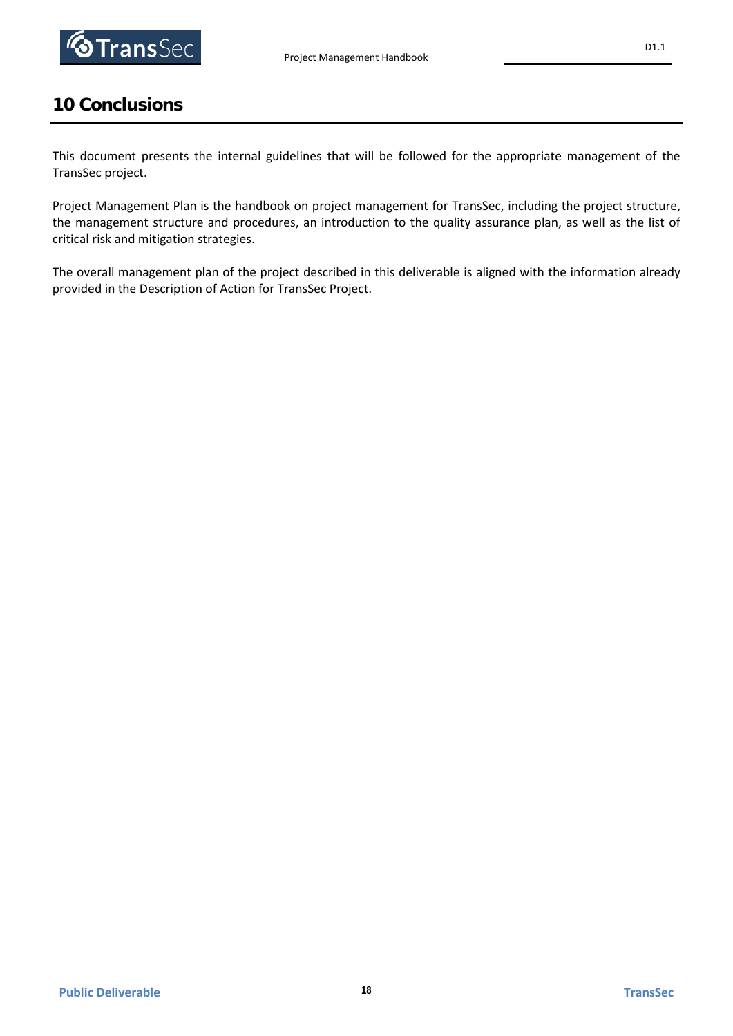

# **10 Conclusions**

This document presents the internal guidelines that will be followed for the appropriate management of the TransSec project.

Project Management Plan is the handbook on project management for TransSec, including the project structure, the management structure and procedures, an introduction to the quality assurance plan, as well as the list of critical risk and mitigation strategies.

The overall management plan of the project described in this deliverable is aligned with the information already provided in the Description of Action for TransSec Project.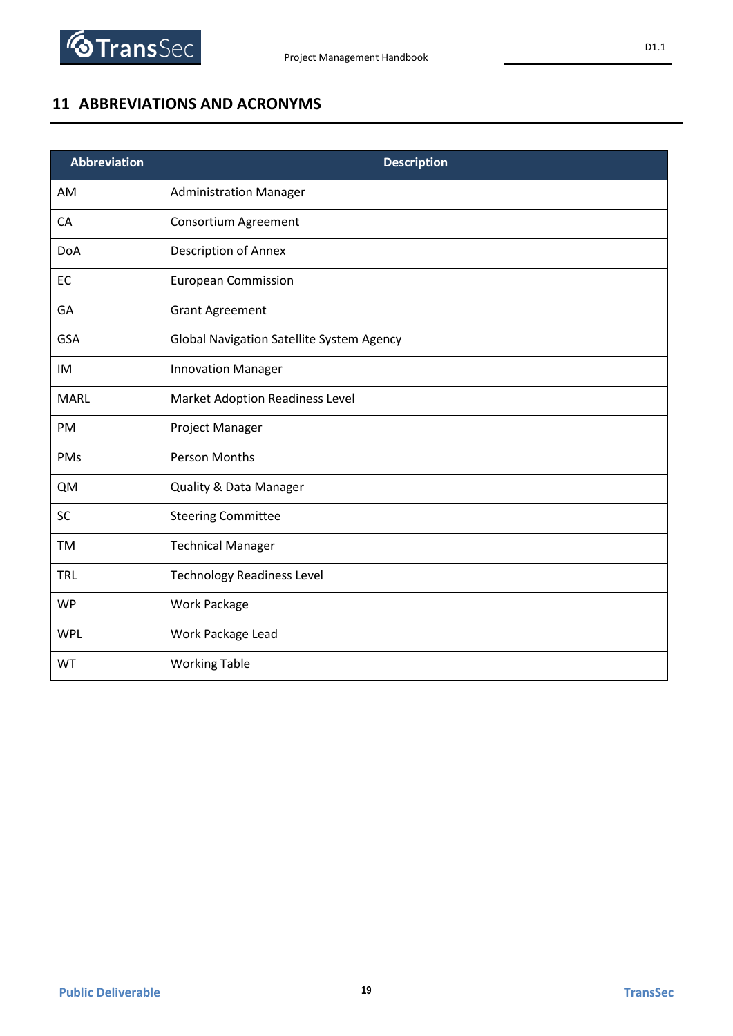

# **11 ABBREVIATIONS AND ACRONYMS**

| <b>Abbreviation</b> | <b>Description</b>                               |
|---------------------|--------------------------------------------------|
| AM                  | <b>Administration Manager</b>                    |
| CA                  | Consortium Agreement                             |
| <b>DoA</b>          | Description of Annex                             |
| EC                  | <b>European Commission</b>                       |
| GA                  | <b>Grant Agreement</b>                           |
| GSA                 | <b>Global Navigation Satellite System Agency</b> |
| IM                  | <b>Innovation Manager</b>                        |
| <b>MARL</b>         | <b>Market Adoption Readiness Level</b>           |
| PM                  | Project Manager                                  |
| PMs                 | <b>Person Months</b>                             |
| <b>QM</b>           | <b>Quality &amp; Data Manager</b>                |
| SC                  | <b>Steering Committee</b>                        |
| <b>TM</b>           | <b>Technical Manager</b>                         |
| <b>TRL</b>          | <b>Technology Readiness Level</b>                |
| <b>WP</b>           | Work Package                                     |
| <b>WPL</b>          | Work Package Lead                                |
| WT                  | <b>Working Table</b>                             |